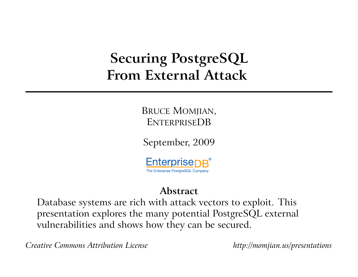# **Securing PostgreSQL From External Attack**

BRUCE MOMJIAN, ENTERPRISEDB

September, 2009



#### **Abstract**

Database systems are rich with attack vectors to exploit. This presentation explores the many potential PostgreSQL external vulnerabilities and shows how they can be secured.

*Creative Commons Attribution License http://momjian.us/presentations*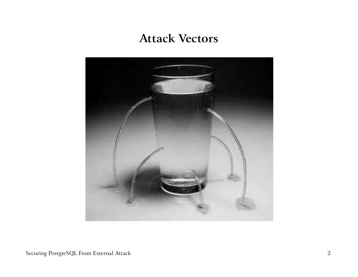#### **Attack Vectors**

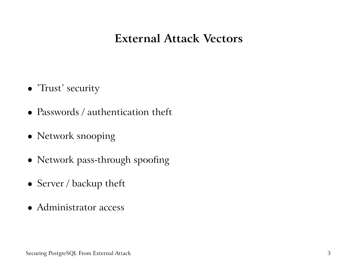#### **External Attack Vectors**

- 'Trust' security
- Passwords / authentication theft
- Network snooping
- Network pass-through spoofing
- Server / backup theft
- Administrator access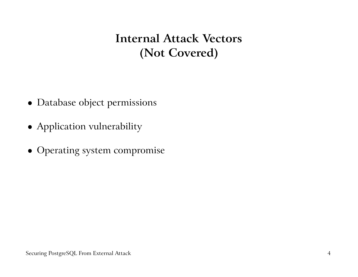**Internal Attack Vectors (Not Covered)**

- Database object permissions
- Application vulnerability
- Operating system compromise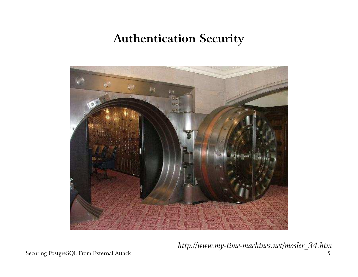#### **Authentication Security**



*http://www.my-time-machines.net/mosler\_34.htm*

Securing PostgreSQL From External Attack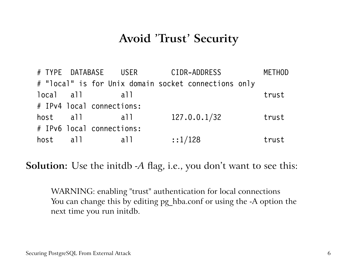#### **Avoid 'Trust' Security**

# TYPE DATABASE USER CIDR-ADDRESS METHOD # "local" is for Unix domain socket connections only local all all all trust # IPv4 local connections: host all all 127.0.0.1/32 trust # IPv6 local connections: host all all  $::1/128$  trust

**Solution:** Use the initdb *-A* flag, i.e., you don't want to see this:

WARNING: enabling "trust" authentication for local connections You can change this by editing pg\_hba.conf or using the -A option the next time you run initdb.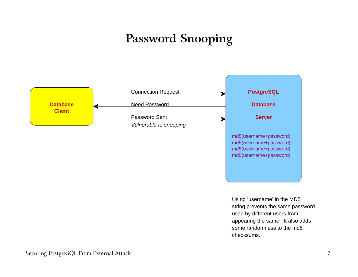## **Password Snooping**



Using 'username' in the MD5 string prevents the same password used by different users from appearing the same. It also adds some randomness to the md5 checksums.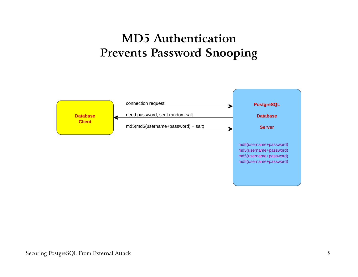#### **MD5 Authentication Prevents Password Snooping**

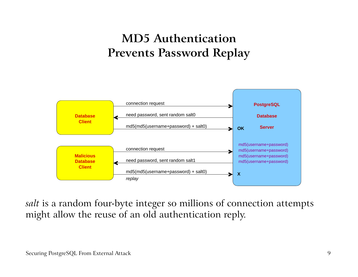### **MD5 Authentication Prevents Password Replay**



*salt* is <sup>a</sup> random four-byte integer so millions of connection attempts might allow the reuse of an old authentication reply.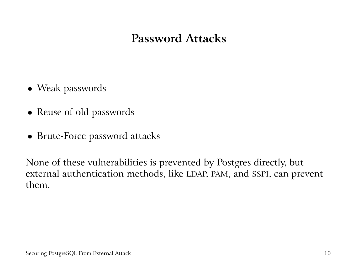#### **Password Attacks**

- Weak passwords
- Reuse of old passwords
- Brute-Force password attacks

None of these vulnerabilities is prevented by Postgres directly, but external authentication methods, like LDAP, PAM, and SSPI, can preven<sup>t</sup> them.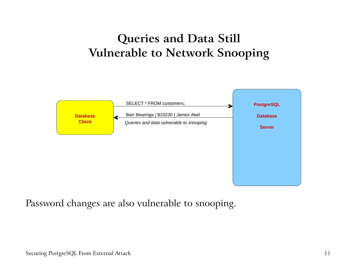### **Queries and Data Still Vulnerable to Network Snooping**



Password changes are also vulnerable to snooping.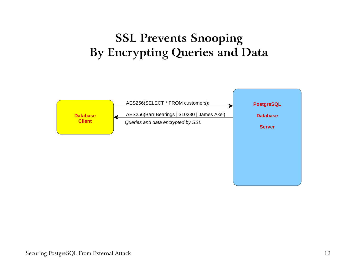### **SSL Prevents Snooping By Encrypting Queries and Data**

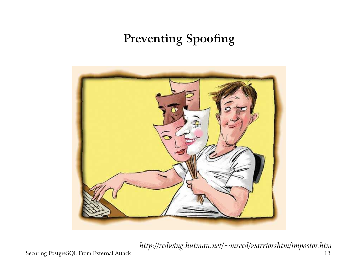## **Preventing Spoofing**



*http://redwing.hutman.net/~mreed/warriorshtm/impostor.htm*

Securing PostgreSQL From External Attack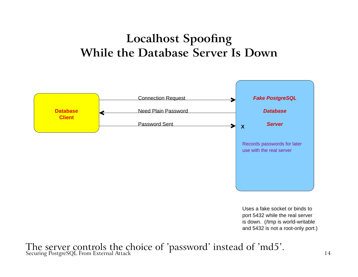#### **Localhost Spoofing While the Database Server Is Down**



Uses a fake socket or binds to and 5432 is not a root-only port.) port 5432 while the real server is down. (/tmp is world-writable

The server controls the choice of 'password' instead of 'md5'.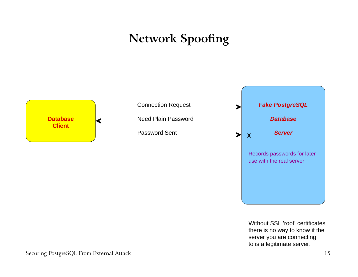## **Network Spoofing**

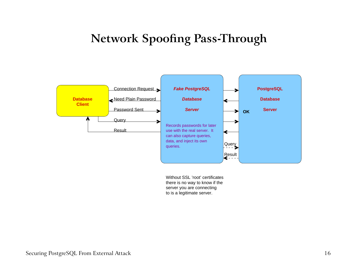#### **Network Spoofing Pass-Through**

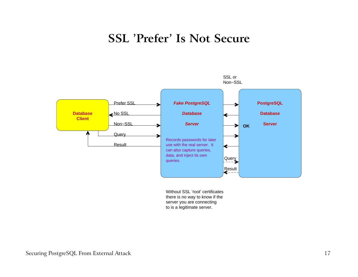#### **SSL 'Prefer' Is Not Secure**

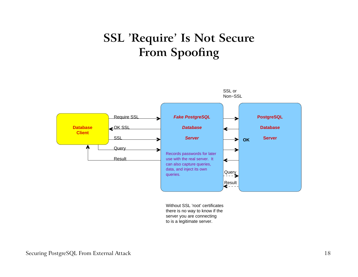### **SSL 'Require' Is Not Secure From Spoofing**

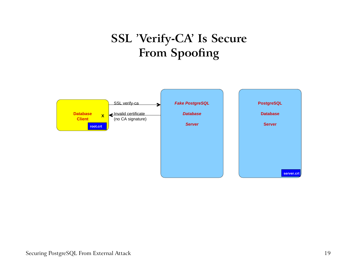## **SSL 'Verify-CA' Is Secure From Spoofing**

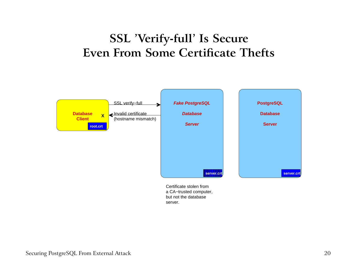#### **SSL 'Verify-full' Is Secure Even From Some Certificate Thefts**



server.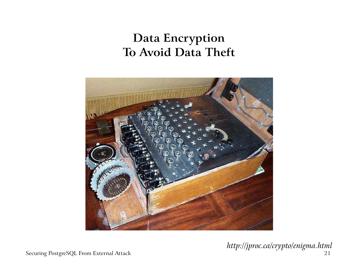### **Data Encryption To Avoid Data Theft**



*http://jproc.ca/crypto/enigma.html*

Securing PostgreSQL From External Attack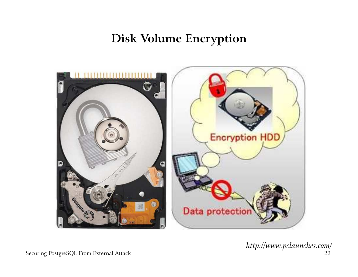**Disk Volume Encryption**



*http://www.pclaunches.com/*

Securing PostgreSQL From External Attack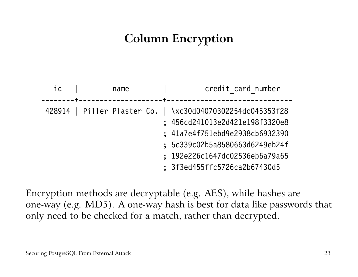## **Column Encryption**

| id | name<br>---------------+--- | credit card number<br>---------------------                                                                                                                                                                                        |
|----|-----------------------------|------------------------------------------------------------------------------------------------------------------------------------------------------------------------------------------------------------------------------------|
|    |                             | 428914   Piller Plaster Co.   \xc30d04070302254dc045353f28<br>; 456cd241013e2d421e198f3320e8<br>; 41a7e4f751ebd9e2938cb6932390<br>; 5c339c02b5a8580663d6249eb24f<br>; 192e226c1647dc02536eb6a79a65<br>; 3f3ed455ffc5726ca2b67430d5 |

Encryption methods are decryptable (e.g. AES), while hashes are one-way (e.g. MD5). A one-way hash is best for data like passwords that only need to be checked for <sup>a</sup> match, rather than decrypted.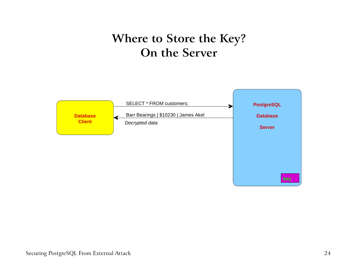#### **Where to Store the Key? On the Server**

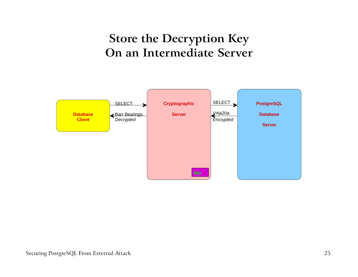#### **Store the Decryption Key On an Intermediate Server**

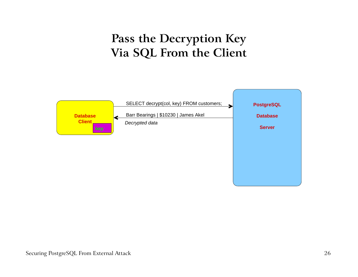#### **Pass the Decryption Key Via SQL From the Client**

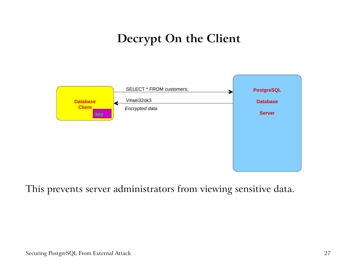### **Decrypt On the Client**



This prevents server administrators from viewing sensitive data.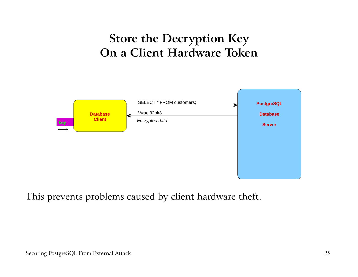#### **Store the Decryption Key On <sup>a</sup> Client Hardware Token**



This prevents problems caused by client hardware theft.